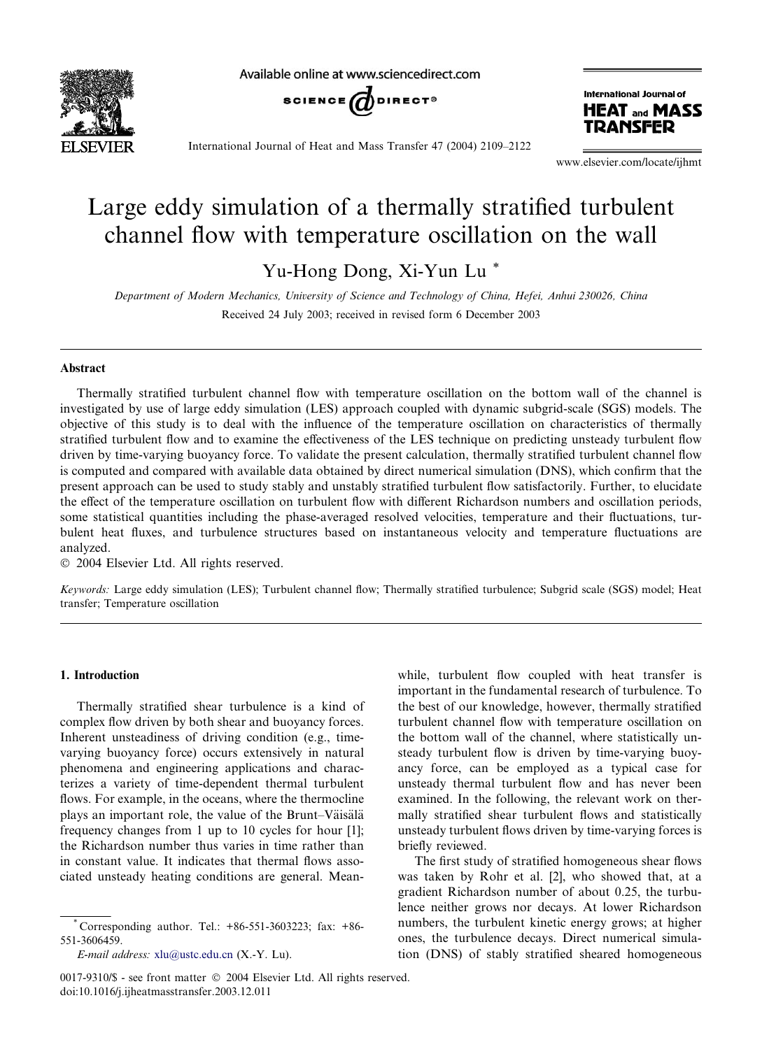

Available online at www.sciencedirect.com



International Journal of Heat and Mass Transfer 47 (2004) 2109–2122

International Journal of **HEAT and MASS** TRANSFER

www.elsevier.com/locate/ijhmt

# Large eddy simulation of a thermally stratified turbulent channel flow with temperature oscillation on the wall

Yu-Hong Dong, Xi-Yun Lu \*

Department of Modern Mechanics, University of Science and Technology of China, Hefei, Anhui 230026, China Received 24 July 2003; received in revised form 6 December 2003

# Abstract

Thermally stratified turbulent channel flow with temperature oscillation on the bottom wall of the channel is investigated by use of large eddy simulation (LES) approach coupled with dynamic subgrid-scale (SGS) models. The objective of this study is to deal with the influence of the temperature oscillation on characteristics of thermally stratified turbulent flow and to examine the effectiveness of the LES technique on predicting unsteady turbulent flow driven by time-varying buoyancy force. To validate the present calculation, thermally stratified turbulent channel flow is computed and compared with available data obtained by direct numerical simulation (DNS), which confirm that the present approach can be used to study stably and unstably stratified turbulent flow satisfactorily. Further, to elucidate the effect of the temperature oscillation on turbulent flow with different Richardson numbers and oscillation periods, some statistical quantities including the phase-averaged resolved velocities, temperature and their fluctuations, turbulent heat fluxes, and turbulence structures based on instantaneous velocity and temperature fluctuations are analyzed.

2004 Elsevier Ltd. All rights reserved.

Keywords: Large eddy simulation (LES); Turbulent channel flow; Thermally stratified turbulence; Subgrid scale (SGS) model; Heat transfer; Temperature oscillation

# 1. Introduction

Thermally stratified shear turbulence is a kind of complex flow driven by both shear and buoyancy forces. Inherent unsteadiness of driving condition (e.g., timevarying buoyancy force) occurs extensively in natural phenomena and engineering applications and characterizes a variety of time-dependent thermal turbulent flows. For example, in the oceans, where the thermocline plays an important role, the value of the Brunt–Väisälä frequency changes from 1 up to 10 cycles for hour [1]; the Richardson number thus varies in time rather than in constant value. It indicates that thermal flows associated unsteady heating conditions are general. Mean-

E-mail address: [xlu@ustc.edu.cn](mail to: xlu@ustc.edu.cn) (X.-Y. Lu).

0017-9310/\$ - see front matter  $\odot$  2004 Elsevier Ltd. All rights reserved. doi:10.1016/j.ijheatmasstransfer.2003.12.011

while, turbulent flow coupled with heat transfer is important in the fundamental research of turbulence. To the best of our knowledge, however, thermally stratified turbulent channel flow with temperature oscillation on the bottom wall of the channel, where statistically unsteady turbulent flow is driven by time-varying buoyancy force, can be employed as a typical case for unsteady thermal turbulent flow and has never been examined. In the following, the relevant work on thermally stratified shear turbulent flows and statistically unsteady turbulent flows driven by time-varying forces is briefly reviewed.

The first study of stratified homogeneous shear flows was taken by Rohr et al. [2], who showed that, at a gradient Richardson number of about 0.25, the turbulence neither grows nor decays. At lower Richardson numbers, the turbulent kinetic energy grows; at higher ones, the turbulence decays. Direct numerical simulation (DNS) of stably stratified sheared homogeneous

<sup>\*</sup> Corresponding author. Tel.: +86-551-3603223; fax: +86- 551-3606459.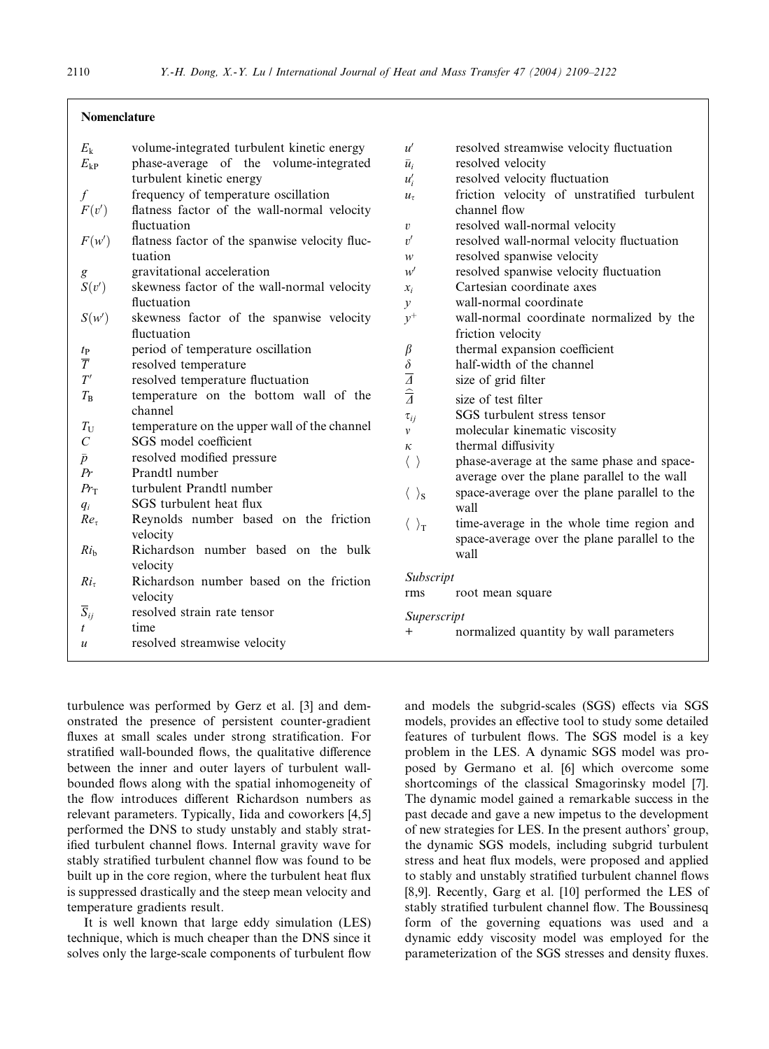## Nomenclature

| $E_{k}$<br>$E_{kP}$<br>f<br>F(v')<br>F(w')<br>g<br>S(v')<br>S(w')<br>$l_{\rm P}$<br>$\overline{T}$ | volume-integrated turbulent kinetic energy<br>phase-average of the volume-integrated<br>turbulent kinetic energy<br>frequency of temperature oscillation<br>flatness factor of the wall-normal velocity<br>fluctuation<br>flatness factor of the spanwise velocity fluc-<br>tuation<br>gravitational acceleration<br>skewness factor of the wall-normal velocity<br>fluctuation<br>skewness factor of the spanwise velocity<br>fluctuation<br>period of temperature oscillation<br>resolved temperature | u'<br>$\bar{u}_i$<br>$u_i'$<br>$u_{\tau}$<br>$\upsilon$<br>v'<br>w<br>w'<br>$\mathcal{X}_i$<br>$\mathcal{V}$<br>$v^+$<br>$\beta$ | resolved streamwise velocity fluctuation<br>resolved velocity<br>resolved velocity fluctuation<br>friction velocity of unstratified turbulent<br>channel flow<br>resolved wall-normal velocity<br>resolved wall-normal velocity fluctuation<br>resolved spanwise velocity<br>resolved spanwise velocity fluctuation<br>Cartesian coordinate axes<br>wall-normal coordinate<br>wall-normal coordinate normalized by the<br>friction velocity<br>thermal expansion coefficient<br>half-width of the channel |
|----------------------------------------------------------------------------------------------------|---------------------------------------------------------------------------------------------------------------------------------------------------------------------------------------------------------------------------------------------------------------------------------------------------------------------------------------------------------------------------------------------------------------------------------------------------------------------------------------------------------|----------------------------------------------------------------------------------------------------------------------------------|-----------------------------------------------------------------------------------------------------------------------------------------------------------------------------------------------------------------------------------------------------------------------------------------------------------------------------------------------------------------------------------------------------------------------------------------------------------------------------------------------------------|
|                                                                                                    |                                                                                                                                                                                                                                                                                                                                                                                                                                                                                                         |                                                                                                                                  |                                                                                                                                                                                                                                                                                                                                                                                                                                                                                                           |
| T'                                                                                                 | resolved temperature fluctuation                                                                                                                                                                                                                                                                                                                                                                                                                                                                        | $\frac{\delta}{\varDelta}$                                                                                                       | size of grid filter                                                                                                                                                                                                                                                                                                                                                                                                                                                                                       |
| $T_{\rm B}$                                                                                        | temperature on the bottom wall of the<br>channel                                                                                                                                                                                                                                                                                                                                                                                                                                                        | $\widehat{\overline{A}}$<br>$\tau_{ii}$                                                                                          | size of test filter<br>SGS turbulent stress tensor                                                                                                                                                                                                                                                                                                                                                                                                                                                        |
| $T_{\rm U}$<br>$\mathcal{C}_{0}^{(n)}$                                                             | temperature on the upper wall of the channel<br>SGS model coefficient                                                                                                                                                                                                                                                                                                                                                                                                                                   | $\mathcal{V}$<br>$\kappa$                                                                                                        | molecular kinematic viscosity<br>thermal diffusivity                                                                                                                                                                                                                                                                                                                                                                                                                                                      |
| $\bar{p}$<br>Pr                                                                                    | resolved modified pressure<br>Prandtl number                                                                                                                                                                                                                                                                                                                                                                                                                                                            | $\langle \rangle$                                                                                                                | phase-average at the same phase and space-<br>average over the plane parallel to the wall                                                                                                                                                                                                                                                                                                                                                                                                                 |
| $Pr_{\text{T}}$<br>$q_i$                                                                           | turbulent Prandtl number<br>SGS turbulent heat flux                                                                                                                                                                                                                                                                                                                                                                                                                                                     | $\langle \ \rangle_{\rm s}$                                                                                                      | space-average over the plane parallel to the<br>wall                                                                                                                                                                                                                                                                                                                                                                                                                                                      |
| $Re\tau$                                                                                           | Reynolds number based on the friction<br>velocity                                                                                                                                                                                                                                                                                                                                                                                                                                                       | $\langle \ \rangle_{\rm T}$                                                                                                      | time-average in the whole time region and<br>space-average over the plane parallel to the                                                                                                                                                                                                                                                                                                                                                                                                                 |
| $Ri_{h}$                                                                                           | Richardson number based on the bulk<br>velocity                                                                                                                                                                                                                                                                                                                                                                                                                                                         |                                                                                                                                  | wall                                                                                                                                                                                                                                                                                                                                                                                                                                                                                                      |
| $Ri_{\tau}$                                                                                        | Richardson number based on the friction<br>velocity                                                                                                                                                                                                                                                                                                                                                                                                                                                     | Subscript<br>rms                                                                                                                 | root mean square                                                                                                                                                                                                                                                                                                                                                                                                                                                                                          |
| $\overline{S}_{ij}$<br>t<br>$\boldsymbol{u}$                                                       | resolved strain rate tensor<br>time<br>resolved streamwise velocity                                                                                                                                                                                                                                                                                                                                                                                                                                     | Superscript<br>$^{+}$                                                                                                            | normalized quantity by wall parameters                                                                                                                                                                                                                                                                                                                                                                                                                                                                    |

turbulence was performed by Gerz et al. [3] and demonstrated the presence of persistent counter-gradient fluxes at small scales under strong stratification. For stratified wall-bounded flows, the qualitative difference between the inner and outer layers of turbulent wallbounded flows along with the spatial inhomogeneity of the flow introduces different Richardson numbers as relevant parameters. Typically, Iida and coworkers [4,5] performed the DNS to study unstably and stably stratified turbulent channel flows. Internal gravity wave for stably stratified turbulent channel flow was found to be built up in the core region, where the turbulent heat flux is suppressed drastically and the steep mean velocity and temperature gradients result.

It is well known that large eddy simulation (LES) technique, which is much cheaper than the DNS since it solves only the large-scale components of turbulent flow and models the subgrid-scales (SGS) effects via SGS models, provides an effective tool to study some detailed features of turbulent flows. The SGS model is a key problem in the LES. A dynamic SGS model was proposed by Germano et al. [6] which overcome some shortcomings of the classical Smagorinsky model [7]. The dynamic model gained a remarkable success in the past decade and gave a new impetus to the development of new strategies for LES. In the present authors' group, the dynamic SGS models, including subgrid turbulent stress and heat flux models, were proposed and applied to stably and unstably stratified turbulent channel flows [8,9]. Recently, Garg et al. [10] performed the LES of stably stratified turbulent channel flow. The Boussinesq form of the governing equations was used and a dynamic eddy viscosity model was employed for the parameterization of the SGS stresses and density fluxes.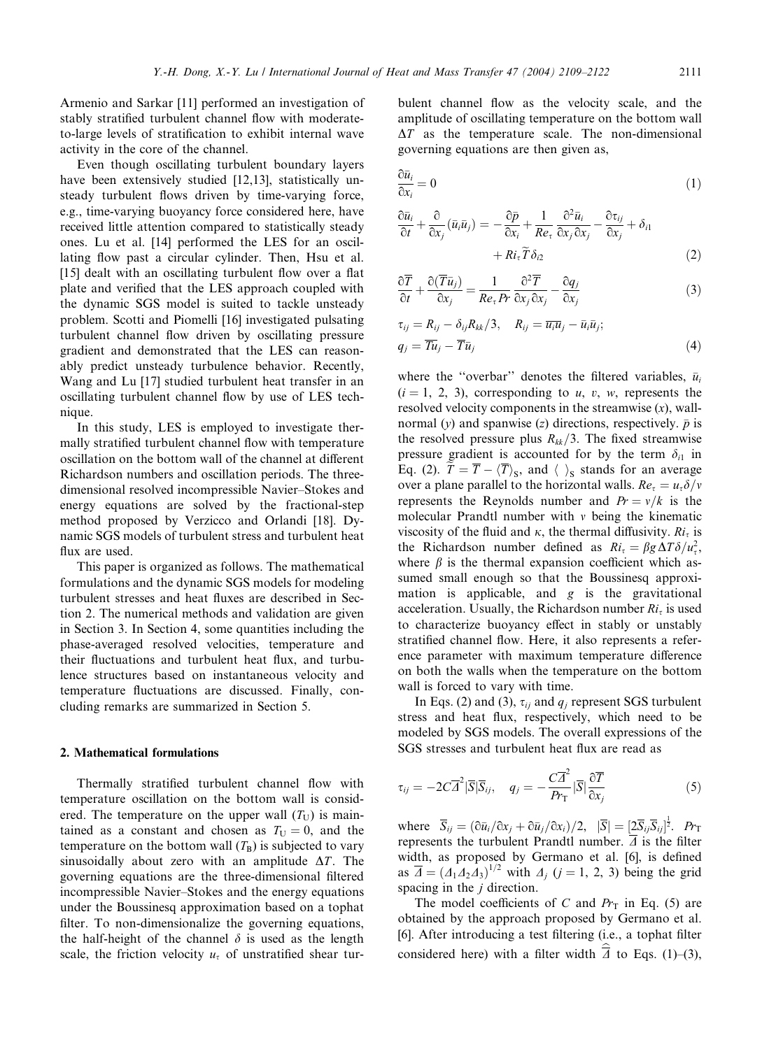Armenio and Sarkar [11] performed an investigation of stably stratified turbulent channel flow with moderateto-large levels of stratification to exhibit internal wave activity in the core of the channel.

Even though oscillating turbulent boundary layers have been extensively studied [12,13], statistically unsteady turbulent flows driven by time-varying force, e.g., time-varying buoyancy force considered here, have received little attention compared to statistically steady ones. Lu et al. [14] performed the LES for an oscillating flow past a circular cylinder. Then, Hsu et al. [15] dealt with an oscillating turbulent flow over a flat plate and verified that the LES approach coupled with the dynamic SGS model is suited to tackle unsteady problem. Scotti and Piomelli [16] investigated pulsating turbulent channel flow driven by oscillating pressure gradient and demonstrated that the LES can reasonably predict unsteady turbulence behavior. Recently, Wang and Lu [17] studied turbulent heat transfer in an oscillating turbulent channel flow by use of LES technique.

In this study, LES is employed to investigate thermally stratified turbulent channel flow with temperature oscillation on the bottom wall of the channel at different Richardson numbers and oscillation periods. The threedimensional resolved incompressible Navier–Stokes and energy equations are solved by the fractional-step method proposed by Verzicco and Orlandi [18]. Dynamic SGS models of turbulent stress and turbulent heat flux are used.

This paper is organized as follows. The mathematical formulations and the dynamic SGS models for modeling turbulent stresses and heat fluxes are described in Section 2. The numerical methods and validation are given in Section 3. In Section 4, some quantities including the phase-averaged resolved velocities, temperature and their fluctuations and turbulent heat flux, and turbulence structures based on instantaneous velocity and temperature fluctuations are discussed. Finally, concluding remarks are summarized in Section 5.

#### 2. Mathematical formulations

Thermally stratified turbulent channel flow with temperature oscillation on the bottom wall is considered. The temperature on the upper wall  $(T_U)$  is maintained as a constant and chosen as  $T_U = 0$ , and the temperature on the bottom wall  $(T_B)$  is subjected to vary sinusoidally about zero with an amplitude  $\Delta T$ . The governing equations are the three-dimensional filtered incompressible Navier–Stokes and the energy equations under the Boussinesq approximation based on a tophat filter. To non-dimensionalize the governing equations, the half-height of the channel  $\delta$  is used as the length scale, the friction velocity  $u<sub>r</sub>$  of unstratified shear turbulent channel flow as the velocity scale, and the amplitude of oscillating temperature on the bottom wall  $\Delta T$  as the temperature scale. The non-dimensional governing equations are then given as,

$$
\frac{\partial \bar{u}_i}{\partial x_i} = 0 \tag{1}
$$

$$
\frac{\partial \bar{u}_i}{\partial t} + \frac{\partial}{\partial x_j} (\bar{u}_i \bar{u}_j) = -\frac{\partial \bar{p}}{\partial x_i} + \frac{1}{Re_\tau} \frac{\partial^2 \bar{u}_i}{\partial x_j \partial x_j} - \frac{\partial \tau_{ij}}{\partial x_j} + \delta_{i1} + Ri_\tau \widetilde{T} \delta_{i2}
$$
\n(2)

$$
\frac{\partial \overline{T}}{\partial t} + \frac{\partial (\overline{T} \overline{u}_j)}{\partial x_j} = \frac{1}{Re_{\tau} Pr} \frac{\partial^2 \overline{T}}{\partial x_j \partial x_j} - \frac{\partial q_j}{\partial x_j} \tag{3}
$$

$$
\tau_{ij} = R_{ij} - \delta_{ij} R_{kk} / 3, \quad R_{ij} = \overline{u_i u_j} - \overline{u}_i \overline{u}_j;
$$
  
\n
$$
q_j = \overline{T u}_j - \overline{T} \overline{u}_j
$$
\n(4)

where the "overbar" denotes the filtered variables,  $\bar{u}_i$  $(i = 1, 2, 3)$ , corresponding to u, v, w, represents the resolved velocity components in the streamwise  $(x)$ , wallnormal (y) and spanwise (z) directions, respectively.  $\bar{p}$  is the resolved pressure plus  $R_{kk}/3$ . The fixed streamwise pressure gradient is accounted for by the term  $\delta_{i1}$  in Eq. (2).  $T = \overline{T} - \langle \overline{T} \rangle_{\mathcal{S}}$ , and  $\langle \rangle_{\mathcal{S}}$  stands for an average over a plane parallel to the horizontal walls.  $Re_\tau = u_\tau \delta/v$ represents the Reynolds number and  $Pr = v/k$  is the molecular Prandtl number with  $\nu$  being the kinematic viscosity of the fluid and  $\kappa$ , the thermal diffusivity.  $Ri_{\tau}$  is the Richardson number defined as  $Ri_{\tau} = \beta g \Delta T \delta / u_{\tau}^2$ , where  $\beta$  is the thermal expansion coefficient which assumed small enough so that the Boussinesq approximation is applicable, and  $g$  is the gravitational acceleration. Usually, the Richardson number  $Ri_{\tau}$  is used to characterize buoyancy effect in stably or unstably stratified channel flow. Here, it also represents a reference parameter with maximum temperature difference on both the walls when the temperature on the bottom wall is forced to vary with time.

In Eqs. (2) and (3),  $\tau_{ii}$  and  $q_i$  represent SGS turbulent stress and heat flux, respectively, which need to be modeled by SGS models. The overall expressions of the SGS stresses and turbulent heat flux are read as

$$
\tau_{ij} = -2C\overline{A}^2 |\overline{S}|\overline{S}_{ij}, \quad q_j = -\frac{C\overline{A}^2}{Pr_{\text{T}}} |\overline{S}|\frac{\partial \overline{T}}{\partial x_j}
$$
(5)

where  $\overline{S}_{ij} = (\partial \overline{u}_i / \partial x_j + \partial \overline{u}_j / \partial x_i)/2, \quad |\overline{S}| = [2\overline{S}_{ij}\overline{S}_{ij}]^{\frac{1}{2}}.$  Pr<sub>T</sub> represents the turbulent Prandtl number.  $\overline{\Delta}$  is the filter width, as proposed by Germano et al. [6], is defined as  $\overline{\Delta} = (A_1 A_2 A_3)^{1/2}$  with  $A_j$  (j = 1, 2, 3) being the grid spacing in the *j* direction.

The model coefficients of C and  $Pr<sub>T</sub>$  in Eq. (5) are obtained by the approach proposed by Germano et al. [6]. After introducing a test filtering (i.e., a tophat filter considered here) with a filter width  $\overline{A}$  to Eqs. (1)–(3),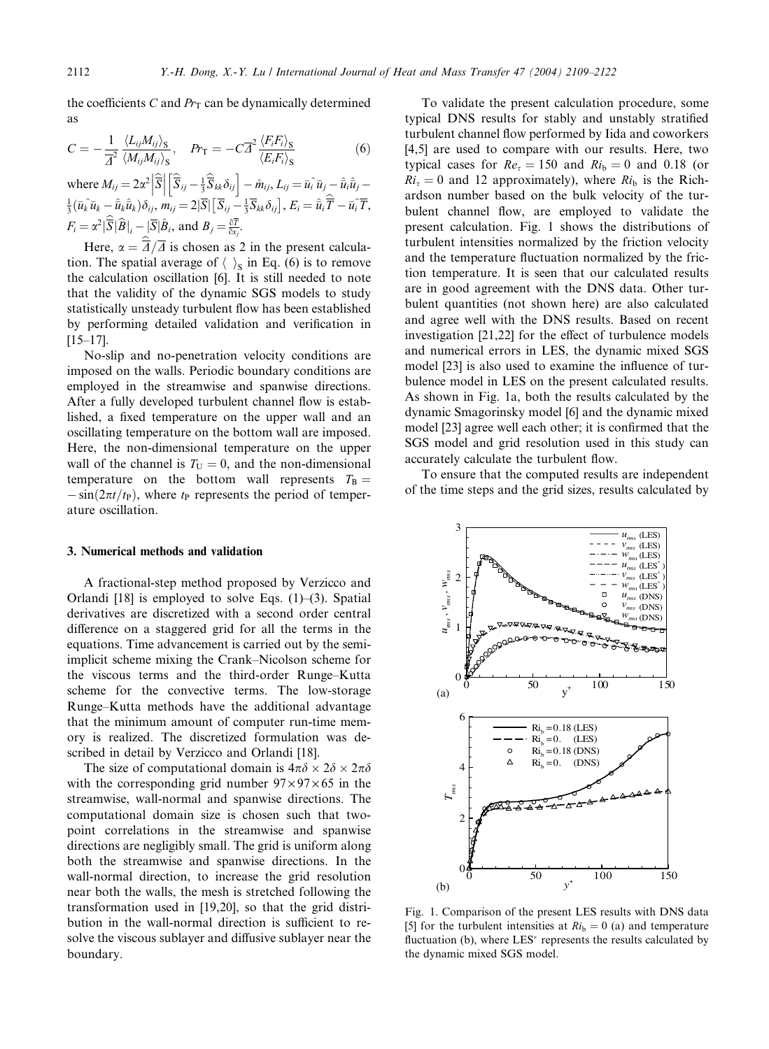the coefficients C and  $Pr<sub>T</sub>$  can be dynamically determined as

$$
C = -\frac{1}{\overline{\Delta}^2} \frac{\langle L_{ij} M_{ij} \rangle_{\rm S}}{\langle M_{ij} M_{ij} \rangle_{\rm S}}, \quad Pr_{\rm T} = -C\overline{\Delta}^2 \frac{\langle F_i F_i \rangle_{\rm S}}{\langle E_i F_i \rangle_{\rm S}} \tag{6}
$$

where  $M_{ij} = 2\alpha^2 \sqrt{S}$  $\overline{\mathbb{I}}$  $\left| \left[ \widehat{\overline{S}}_{ij} - \frac{1}{3} \widehat{\overline{S}}_{kk} \delta_{ij} \right] - \hat{m}_{ij}, L_{ij} = \overline{u}_i \overline{u}_j - \hat{\overline{u}}_i \hat{\overline{u}}_j \frac{1}{3} (\bar{u}_k \bar{u}_k - \hat{u}_k \hat{u}_k) \delta_{ij}, \vec{m}_{ij} = 2 |\overline{S}| \left[ \overline{S}_{ij} - \frac{1}{3} \overline{S}_{kk} \delta_{ij} \right], E_i = \hat{u}_i \widehat{\overline{T}} - \overline{u}_i \overline{T},$  $F_i = \alpha^2 |\overline{S}|\widehat{B}|_i - |\overline{S}|\widehat{B}_i$ , and  $B_j = \frac{\partial \overline{T}}{\partial x_j}$ .

Here,  $\alpha = \overline{A}/\overline{A}$  is chosen as 2 in the present calculation. The spatial average of  $\langle \ \rangle_{\rm S}$  in Eq. (6) is to remove the calculation oscillation [6]. It is still needed to note that the validity of the dynamic SGS models to study statistically unsteady turbulent flow has been established by performing detailed validation and verification in [15–17].

No-slip and no-penetration velocity conditions are imposed on the walls. Periodic boundary conditions are employed in the streamwise and spanwise directions. After a fully developed turbulent channel flow is established, a fixed temperature on the upper wall and an oscillating temperature on the bottom wall are imposed. Here, the non-dimensional temperature on the upper wall of the channel is  $T_U = 0$ , and the non-dimensional temperature on the bottom wall represents  $T_B =$  $-\sin(2\pi t/t_{\rm P})$ , where  $t_{\rm P}$  represents the period of temperature oscillation.

#### 3. Numerical methods and validation

A fractional-step method proposed by Verzicco and Orlandi [18] is employed to solve Eqs.  $(1)$ – $(3)$ . Spatial derivatives are discretized with a second order central difference on a staggered grid for all the terms in the equations. Time advancement is carried out by the semiimplicit scheme mixing the Crank–Nicolson scheme for the viscous terms and the third-order Runge–Kutta scheme for the convective terms. The low-storage Runge–Kutta methods have the additional advantage that the minimum amount of computer run-time memory is realized. The discretized formulation was described in detail by Verzicco and Orlandi [18].

The size of computational domain is  $4\pi\delta \times 2\delta \times 2\pi\delta$ with the corresponding grid number  $97 \times 97 \times 65$  in the streamwise, wall-normal and spanwise directions. The computational domain size is chosen such that twopoint correlations in the streamwise and spanwise directions are negligibly small. The grid is uniform along both the streamwise and spanwise directions. In the wall-normal direction, to increase the grid resolution near both the walls, the mesh is stretched following the transformation used in [19,20], so that the grid distribution in the wall-normal direction is sufficient to resolve the viscous sublayer and diffusive sublayer near the boundary.

To validate the present calculation procedure, some typical DNS results for stably and unstably stratified turbulent channel flow performed by Iida and coworkers [4,5] are used to compare with our results. Here, two typical cases for  $Re<sub>\tau</sub> = 150$  and  $Ri<sub>b</sub> = 0$  and 0.18 (or  $Ri_{\tau} = 0$  and 12 approximately), where  $Ri_{\rm b}$  is the Richardson number based on the bulk velocity of the turbulent channel flow, are employed to validate the present calculation. Fig. 1 shows the distributions of turbulent intensities normalized by the friction velocity and the temperature fluctuation normalized by the friction temperature. It is seen that our calculated results are in good agreement with the DNS data. Other turbulent quantities (not shown here) are also calculated and agree well with the DNS results. Based on recent investigation [21,22] for the effect of turbulence models and numerical errors in LES, the dynamic mixed SGS model [23] is also used to examine the influence of turbulence model in LES on the present calculated results. As shown in Fig. 1a, both the results calculated by the dynamic Smagorinsky model [6] and the dynamic mixed model [23] agree well each other; it is confirmed that the SGS model and grid resolution used in this study can accurately calculate the turbulent flow.

To ensure that the computed results are independent of the time steps and the grid sizes, results calculated by



Fig. 1. Comparison of the present LES results with DNS data [5] for the turbulent intensities at  $Ri<sub>b</sub> = 0$  (a) and temperature fluctuation (b), where  $LES^*$  represents the results calculated by the dynamic mixed SGS model.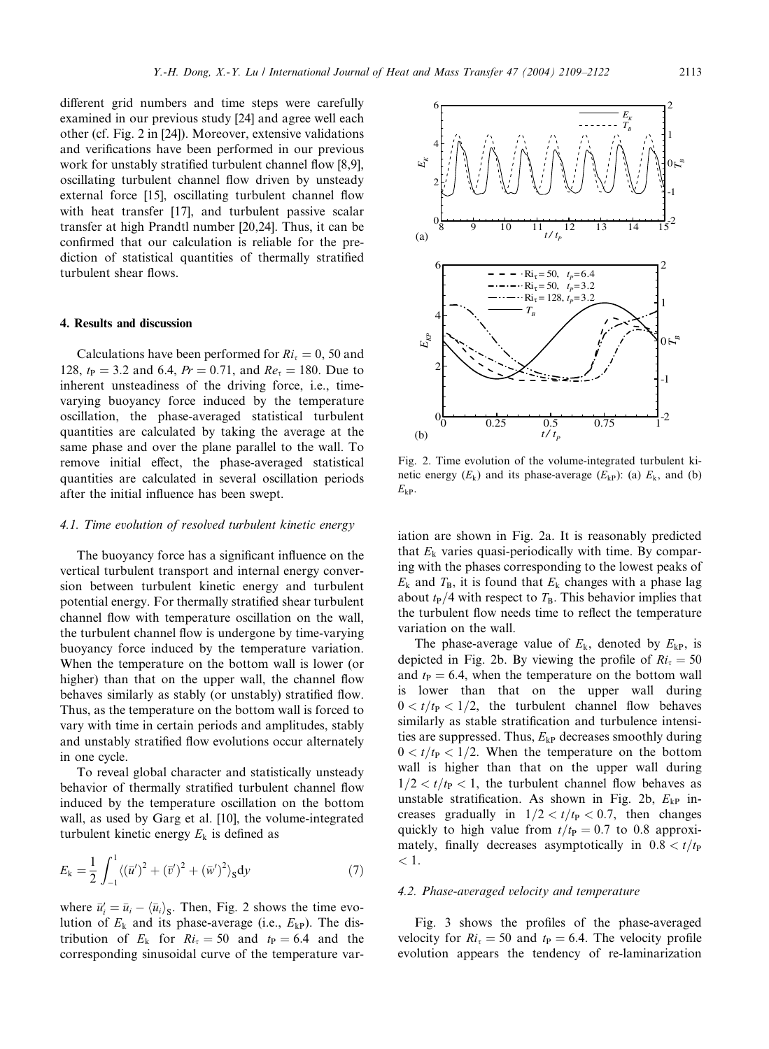6

different grid numbers and time steps were carefully examined in our previous study [24] and agree well each other (cf. Fig. 2 in [24]). Moreover, extensive validations and verifications have been performed in our previous work for unstably stratified turbulent channel flow [8,9], oscillating turbulent channel flow driven by unsteady external force [15], oscillating turbulent channel flow with heat transfer [17], and turbulent passive scalar transfer at high Prandtl number [20,24]. Thus, it can be confirmed that our calculation is reliable for the prediction of statistical quantities of thermally stratified turbulent shear flows.

#### 4. Results and discussion

Calculations have been performed for  $Ri_1 = 0$ , 50 and 128,  $t_{\rm P} = 3.2$  and 6.4,  $Pr = 0.71$ , and  $Re<sub>\tau</sub> = 180$ . Due to inherent unsteadiness of the driving force, i.e., timevarying buoyancy force induced by the temperature oscillation, the phase-averaged statistical turbulent quantities are calculated by taking the average at the same phase and over the plane parallel to the wall. To remove initial effect, the phase-averaged statistical quantities are calculated in several oscillation periods after the initial influence has been swept.

#### 4.1. Time evolution of resolved turbulent kinetic energy

The buoyancy force has a significant influence on the vertical turbulent transport and internal energy conversion between turbulent kinetic energy and turbulent potential energy. For thermally stratified shear turbulent channel flow with temperature oscillation on the wall, the turbulent channel flow is undergone by time-varying buoyancy force induced by the temperature variation. When the temperature on the bottom wall is lower (or higher) than that on the upper wall, the channel flow behaves similarly as stably (or unstably) stratified flow. Thus, as the temperature on the bottom wall is forced to vary with time in certain periods and amplitudes, stably and unstably stratified flow evolutions occur alternately in one cycle.

To reveal global character and statistically unsteady behavior of thermally stratified turbulent channel flow induced by the temperature oscillation on the bottom wall, as used by Garg et al. [10], the volume-integrated turbulent kinetic energy  $E_k$  is defined as

$$
E_{k} = \frac{1}{2} \int_{-1}^{1} \langle (\bar{u}')^{2} + (\bar{v}')^{2} + (\bar{w}')^{2} \rangle_{S} dy
$$
 (7)

where  $\bar{u}'_i = \bar{u}_i - \langle \bar{u}_i \rangle_{\mathcal{S}}$ . Then, Fig. 2 shows the time evolution of  $E_k$  and its phase-average (i.e.,  $E_{kP}$ ). The distribution of  $E_k$  for  $Ri_\tau = 50$  and  $t_P = 6.4$  and the corresponding sinusoidal curve of the temperature var-



Fig. 2. Time evolution of the volume-integrated turbulent kinetic energy  $(E_k)$  and its phase-average  $(E_{kP})$ : (a)  $E_k$ , and (b)  $E_{kP}$ .

iation are shown in Fig. 2a. It is reasonably predicted that  $E_k$  varies quasi-periodically with time. By comparing with the phases corresponding to the lowest peaks of  $E_k$  and  $T_B$ , it is found that  $E_k$  changes with a phase lag about  $t_P/4$  with respect to  $T_B$ . This behavior implies that the turbulent flow needs time to reflect the temperature variation on the wall.

The phase-average value of  $E_k$ , denoted by  $E_{kP}$ , is depicted in Fig. 2b. By viewing the profile of  $Ri_7 = 50$ and  $t_{\rm P} = 6.4$ , when the temperature on the bottom wall is lower than that on the upper wall during  $0 < t/t_P < 1/2$ , the turbulent channel flow behaves similarly as stable stratification and turbulence intensities are suppressed. Thus,  $E_{kP}$  decreases smoothly during  $0 < t/t_P < 1/2$ . When the temperature on the bottom wall is higher than that on the upper wall during  $1/2 < t/t_P < 1$ , the turbulent channel flow behaves as unstable stratification. As shown in Fig. 2b,  $E_{kP}$  increases gradually in  $1/2 < t/t_P < 0.7$ , then changes quickly to high value from  $t/t_P = 0.7$  to 0.8 approximately, finally decreases asymptotically in  $0.8 < t/t<sub>P</sub>$  $< 1.$ 

#### 4.2. Phase-averaged velocity and temperature

Fig. 3 shows the profiles of the phase-averaged velocity for  $Ri_t = 50$  and  $t_P = 6.4$ . The velocity profile evolution appears the tendency of re-laminarization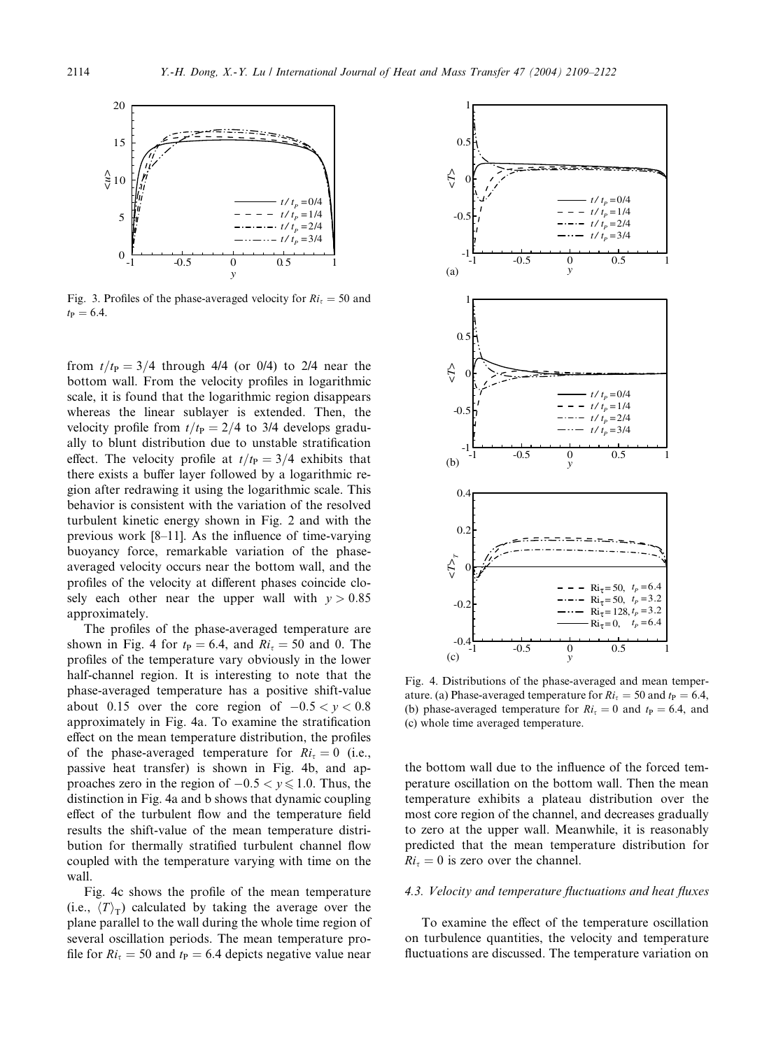

Fig. 3. Profiles of the phase-averaged velocity for  $Ri_7 = 50$  and  $t_{\rm P} = 6.4.$ 

from  $t/t_P = 3/4$  through 4/4 (or 0/4) to 2/4 near the bottom wall. From the velocity profiles in logarithmic scale, it is found that the logarithmic region disappears whereas the linear sublayer is extended. Then, the velocity profile from  $t/t<sub>P</sub> = 2/4$  to 3/4 develops gradually to blunt distribution due to unstable stratification effect. The velocity profile at  $t/t_P = 3/4$  exhibits that there exists a buffer layer followed by a logarithmic region after redrawing it using the logarithmic scale. This behavior is consistent with the variation of the resolved turbulent kinetic energy shown in Fig. 2 and with the previous work [8–11]. As the influence of time-varying buoyancy force, remarkable variation of the phaseaveraged velocity occurs near the bottom wall, and the profiles of the velocity at different phases coincide closely each other near the upper wall with  $y > 0.85$ approximately.

The profiles of the phase-averaged temperature are shown in Fig. 4 for  $t_P = 6.4$ , and  $Ri_\tau = 50$  and 0. The profiles of the temperature vary obviously in the lower half-channel region. It is interesting to note that the phase-averaged temperature has a positive shift-value about 0.15 over the core region of  $-0.5 < y < 0.8$ approximately in Fig. 4a. To examine the stratification effect on the mean temperature distribution, the profiles of the phase-averaged temperature for  $Ri_1 = 0$  (i.e., passive heat transfer) is shown in Fig. 4b, and approaches zero in the region of  $-0.5 < y \le 1.0$ . Thus, the distinction in Fig. 4a and b shows that dynamic coupling effect of the turbulent flow and the temperature field results the shift-value of the mean temperature distribution for thermally stratified turbulent channel flow coupled with the temperature varying with time on the wall.

Fig. 4c shows the profile of the mean temperature (i.e.,  $\langle T \rangle_T$ ) calculated by taking the average over the plane parallel to the wall during the whole time region of several oscillation periods. The mean temperature profile for  $Ri_r = 50$  and  $t_P = 6.4$  depicts negative value near



Fig. 4. Distributions of the phase-averaged and mean temperature. (a) Phase-averaged temperature for  $Ri_1 = 50$  and  $t_P = 6.4$ , (b) phase-averaged temperature for  $Ri_0 = 0$  and  $t_P = 6.4$ , and (c) whole time averaged temperature.

the bottom wall due to the influence of the forced temperature oscillation on the bottom wall. Then the mean temperature exhibits a plateau distribution over the most core region of the channel, and decreases gradually to zero at the upper wall. Meanwhile, it is reasonably predicted that the mean temperature distribution for  $Ri_{\tau} = 0$  is zero over the channel.

## 4.3. Velocity and temperature fluctuations and heat fluxes

To examine the effect of the temperature oscillation on turbulence quantities, the velocity and temperature fluctuations are discussed. The temperature variation on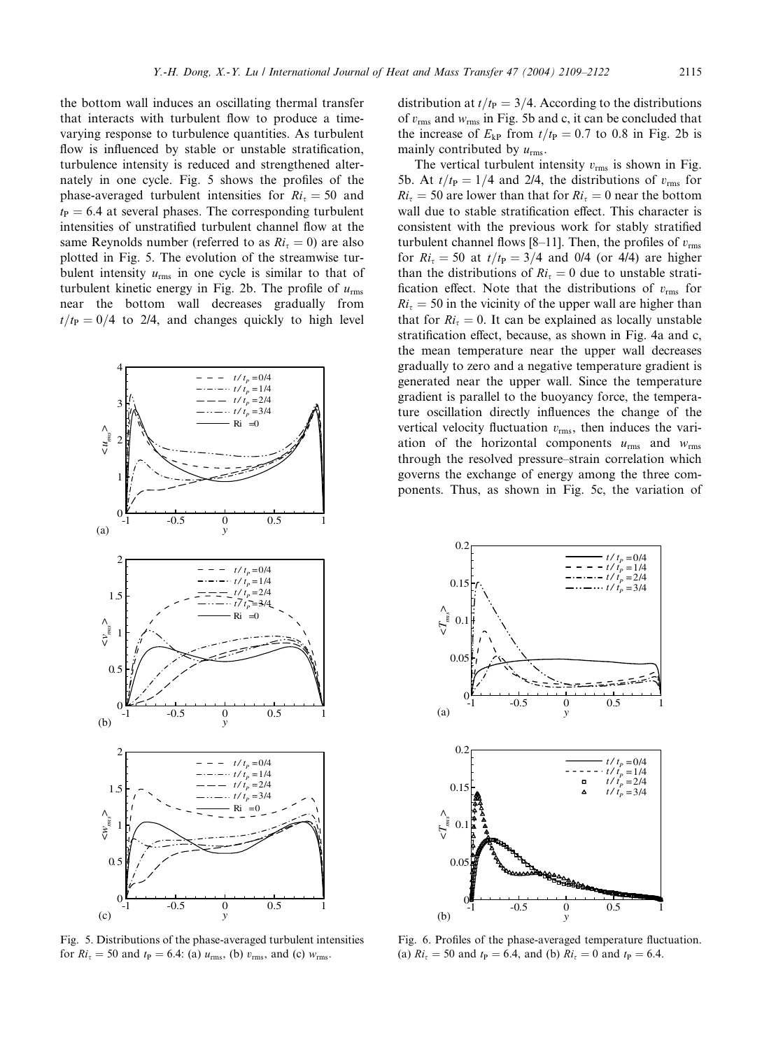the bottom wall induces an oscillating thermal transfer that interacts with turbulent flow to produce a timevarying response to turbulence quantities. As turbulent flow is influenced by stable or unstable stratification, turbulence intensity is reduced and strengthened alternately in one cycle. Fig. 5 shows the profiles of the phase-averaged turbulent intensities for  $Ri_7 = 50$  and  $t_{\rm P} = 6.4$  at several phases. The corresponding turbulent intensities of unstratified turbulent channel flow at the same Reynolds number (referred to as  $Ri_\tau = 0$ ) are also plotted in Fig. 5. The evolution of the streamwise turbulent intensity  $u_{\text{rms}}$  in one cycle is similar to that of turbulent kinetic energy in Fig. 2b. The profile of  $u_{\text{rms}}$ near the bottom wall decreases gradually from  $t/t_P = 0/4$  to 2/4, and changes quickly to high level



Fig. 5. Distributions of the phase-averaged turbulent intensities for  $Ri_7 = 50$  and  $t_P = 6.4$ : (a)  $u_{\text{rms}}$ , (b)  $v_{\text{rms}}$ , and (c)  $w_{\text{rms}}$ .

distribution at  $t/t_P = 3/4$ . According to the distributions of  $v_{\text{rms}}$  and  $w_{\text{rms}}$  in Fig. 5b and c, it can be concluded that the increase of  $E_{kP}$  from  $t/t_P = 0.7$  to 0.8 in Fig. 2b is mainly contributed by  $u_{\rm rms}$ .

The vertical turbulent intensity  $v_{\rm rms}$  is shown in Fig. 5b. At  $t/t_P = 1/4$  and 2/4, the distributions of  $v_{\text{rms}}$  for  $Ri_{\tau} = 50$  are lower than that for  $Ri_{\tau} = 0$  near the bottom wall due to stable stratification effect. This character is consistent with the previous work for stably stratified turbulent channel flows [8–11]. Then, the profiles of  $v_{\rm rms}$ for  $Ri_0 = 50$  at  $t/t_P = 3/4$  and 0/4 (or 4/4) are higher than the distributions of  $Ri<sub>\tau</sub> = 0$  due to unstable stratification effect. Note that the distributions of  $v_{\rm rms}$  for  $Ri<sub>z</sub> = 50$  in the vicinity of the upper wall are higher than that for  $Ri_0 = 0$ . It can be explained as locally unstable stratification effect, because, as shown in Fig. 4a and c, the mean temperature near the upper wall decreases gradually to zero and a negative temperature gradient is generated near the upper wall. Since the temperature gradient is parallel to the buoyancy force, the temperature oscillation directly influences the change of the vertical velocity fluctuation  $v_{\rm rms}$ , then induces the variation of the horizontal components  $u_{\rm rms}$  and  $w_{\rm rms}$ through the resolved pressure–strain correlation which governs the exchange of energy among the three components. Thus, as shown in Fig. 5c, the variation of



Fig. 6. Profiles of the phase-averaged temperature fluctuation. (a)  $Ri_7 = 50$  and  $t_P = 6.4$ , and (b)  $Ri_7 = 0$  and  $t_P = 6.4$ .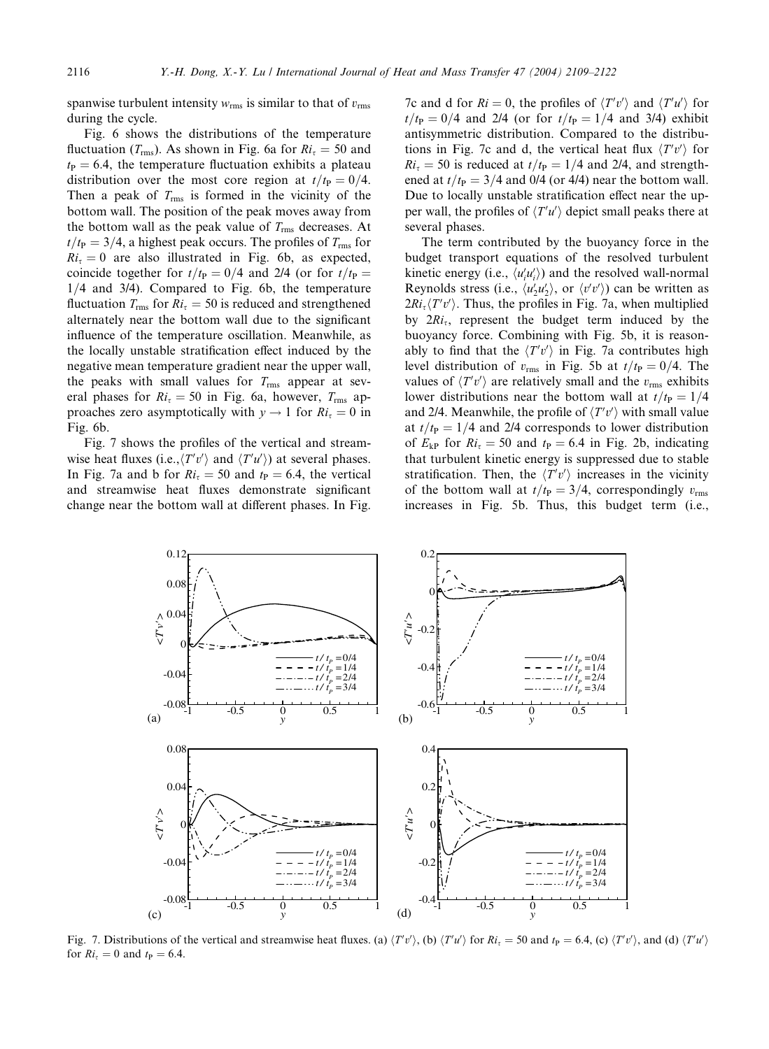spanwise turbulent intensity  $w_{\text{rms}}$  is similar to that of  $v_{\text{rms}}$ during the cycle.

Fig. 6 shows the distributions of the temperature fluctuation ( $T_{\text{rms}}$ ). As shown in Fig. 6a for  $Ri_r = 50$  and  $t_{\rm P} = 6.4$ , the temperature fluctuation exhibits a plateau distribution over the most core region at  $t/t_P = 0/4$ . Then a peak of  $T_{\text{rms}}$  is formed in the vicinity of the bottom wall. The position of the peak moves away from the bottom wall as the peak value of  $T_{\rm rms}$  decreases. At  $t/t_P = 3/4$ , a highest peak occurs. The profiles of  $T_{\text{rms}}$  for  $Ri_\tau = 0$  are also illustrated in Fig. 6b, as expected, coincide together for  $t/t_P = 0/4$  and 2/4 (or for  $t/t_P =$  $1/4$  and  $3/4$ ). Compared to Fig. 6b, the temperature fluctuation  $T_{\text{rms}}$  for  $Ri_{\tau} = 50$  is reduced and strengthened alternately near the bottom wall due to the significant influence of the temperature oscillation. Meanwhile, as the locally unstable stratification effect induced by the negative mean temperature gradient near the upper wall, the peaks with small values for  $T_{\rm rms}$  appear at several phases for  $Ri_\tau = 50$  in Fig. 6a, however,  $T_{\text{rms}}$  approaches zero asymptotically with  $y \rightarrow 1$  for  $Ri_z = 0$  in Fig. 6b.

Fig. 7 shows the profiles of the vertical and streamwise heat fluxes (i.e., $\langle T'v' \rangle$  and  $\langle T'u' \rangle$ ) at several phases. In Fig. 7a and b for  $Ri_7 = 50$  and  $t_P = 6.4$ , the vertical and streamwise heat fluxes demonstrate significant change near the bottom wall at different phases. In Fig.

7c and d for  $Ri = 0$ , the profiles of  $\langle T'v' \rangle$  and  $\langle T'u' \rangle$  for  $t/t_P = 0/4$  and 2/4 (or for  $t/t_P = 1/4$  and 3/4) exhibit antisymmetric distribution. Compared to the distributions in Fig. 7c and d, the vertical heat flux  $\langle T'v' \rangle$  for  $Ri_\tau = 50$  is reduced at  $t/t_P = 1/4$  and 2/4, and strengthened at  $t/t_P = 3/4$  and 0/4 (or 4/4) near the bottom wall. Due to locally unstable stratification effect near the upper wall, the profiles of  $\langle T' u' \rangle$  depict small peaks there at several phases.

The term contributed by the buoyancy force in the budget transport equations of the resolved turbulent kinetic energy (i.e.,  $\langle u'_i u'_i \rangle$ ) and the resolved wall-normal Reynolds stress (i.e.,  $\langle u_2' u_2' \rangle$ , or  $\langle v' v' \rangle$ ) can be written as  $2Ri_{\tau}\langle T'v'\rangle$ . Thus, the profiles in Fig. 7a, when multiplied by  $2Ri_{\tau}$ , represent the budget term induced by the buoyancy force. Combining with Fig. 5b, it is reasonably to find that the  $\langle T'v' \rangle$  in Fig. 7a contributes high level distribution of  $v_{\text{rms}}$  in Fig. 5b at  $t/t_{\text{P}} = 0/4$ . The values of  $\langle T'v' \rangle$  are relatively small and the  $v_{\rm rms}$  exhibits lower distributions near the bottom wall at  $t/t_P = 1/4$ and 2/4. Meanwhile, the profile of  $\langle T'v' \rangle$  with small value at  $t/t_P = 1/4$  and 2/4 corresponds to lower distribution of  $E_{kP}$  for  $Ri_\tau = 50$  and  $t_P = 6.4$  in Fig. 2b, indicating that turbulent kinetic energy is suppressed due to stable stratification. Then, the  $\langle T'v' \rangle$  increases in the vicinity of the bottom wall at  $t/t_P = 3/4$ , correspondingly  $v_{\text{rms}}$ increases in Fig. 5b. Thus, this budget term (i.e.,



Fig. 7. Distributions of the vertical and streamwise heat fluxes. (a)  $\langle T'v' \rangle$ , (b)  $\langle T'u' \rangle$  for  $R_i = 50$  and  $t_p = 6.4$ , (c)  $\langle T'v' \rangle$ , and (d)  $\langle T'u' \rangle$ for  $Ri_0 = 0$  and  $t_P = 6.4$ .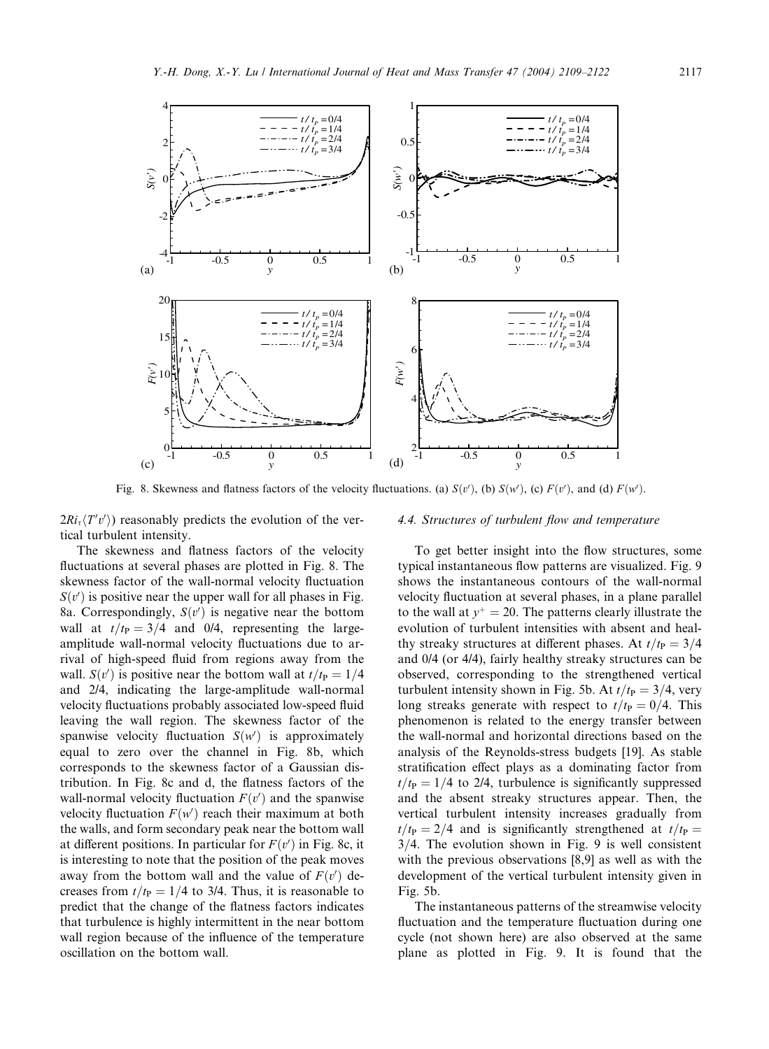

Fig. 8. Skewness and flatness factors of the velocity fluctuations. (a)  $S(v')$ , (b)  $S(w')$ , (c)  $F(v')$ , and (d)  $F(w')$ .

 $2Ri_{\tau}\langle T'v'\rangle$ ) reasonably predicts the evolution of the vertical turbulent intensity.

The skewness and flatness factors of the velocity fluctuations at several phases are plotted in Fig. 8. The skewness factor of the wall-normal velocity fluctuation  $S(v')$  is positive near the upper wall for all phases in Fig. 8a. Correspondingly,  $S(v')$  is negative near the bottom wall at  $t/t_P = 3/4$  and 0/4, representing the largeamplitude wall-normal velocity fluctuations due to arrival of high-speed fluid from regions away from the wall.  $S(v')$  is positive near the bottom wall at  $t/t_P = 1/4$ and 2/4, indicating the large-amplitude wall-normal velocity fluctuations probably associated low-speed fluid leaving the wall region. The skewness factor of the spanwise velocity fluctuation  $S(w')$  is approximately equal to zero over the channel in Fig. 8b, which corresponds to the skewness factor of a Gaussian distribution. In Fig. 8c and d, the flatness factors of the wall-normal velocity fluctuation  $F(v')$  and the spanwise velocity fluctuation  $F(w')$  reach their maximum at both the walls, and form secondary peak near the bottom wall at different positions. In particular for  $F(v')$  in Fig. 8c, it is interesting to note that the position of the peak moves away from the bottom wall and the value of  $F(v')$  decreases from  $t/t_P = 1/4$  to 3/4. Thus, it is reasonable to predict that the change of the flatness factors indicates that turbulence is highly intermittent in the near bottom wall region because of the influence of the temperature oscillation on the bottom wall.

## 4.4. Structures of turbulent flow and temperature

To get better insight into the flow structures, some typical instantaneous flow patterns are visualized. Fig. 9 shows the instantaneous contours of the wall-normal velocity fluctuation at several phases, in a plane parallel to the wall at  $y^+=20$ . The patterns clearly illustrate the evolution of turbulent intensities with absent and healthy streaky structures at different phases. At  $t/t_P = 3/4$ and 0/4 (or 4/4), fairly healthy streaky structures can be observed, corresponding to the strengthened vertical turbulent intensity shown in Fig. 5b. At  $t/t_P = 3/4$ , very long streaks generate with respect to  $t/t_P = 0/4$ . This phenomenon is related to the energy transfer between the wall-normal and horizontal directions based on the analysis of the Reynolds-stress budgets [19]. As stable stratification effect plays as a dominating factor from  $t/t_P = 1/4$  to 2/4, turbulence is significantly suppressed and the absent streaky structures appear. Then, the vertical turbulent intensity increases gradually from  $t/t_P = 2/4$  and is significantly strengthened at  $t/t_P =$  $3/4$ . The evolution shown in Fig. 9 is well consistent with the previous observations [8,9] as well as with the development of the vertical turbulent intensity given in Fig. 5b.

The instantaneous patterns of the streamwise velocity fluctuation and the temperature fluctuation during one cycle (not shown here) are also observed at the same plane as plotted in Fig. 9. It is found that the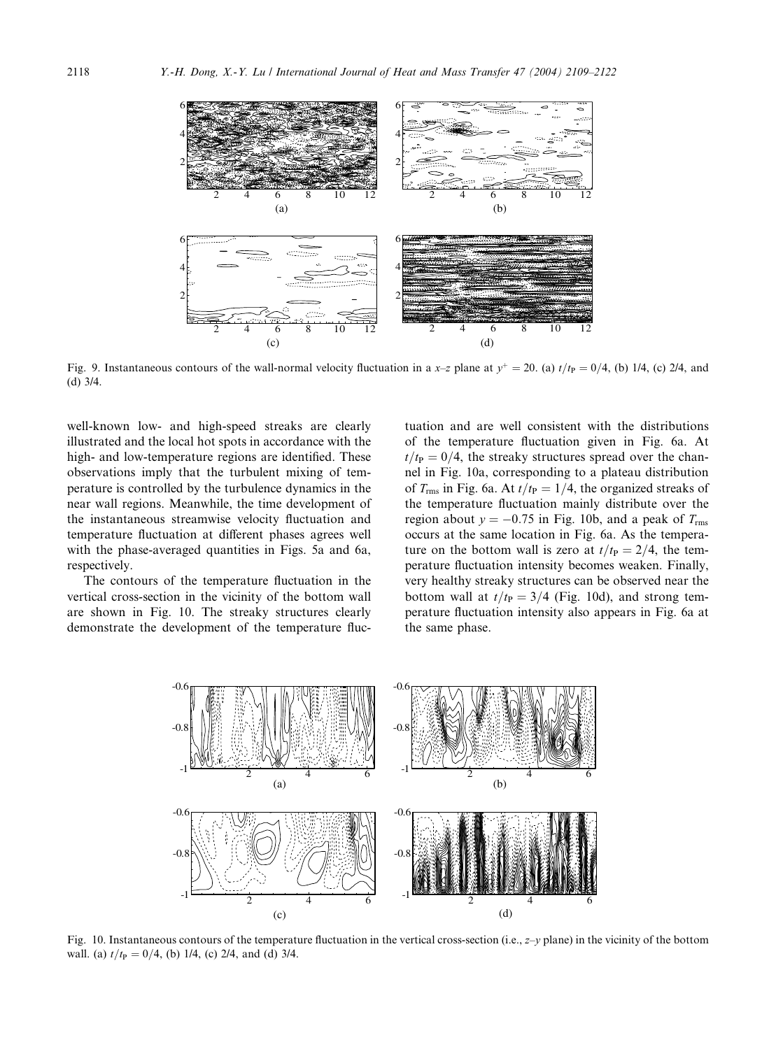

Fig. 9. Instantaneous contours of the wall-normal velocity fluctuation in a x–z plane at  $y^+=20$ . (a)  $t/t<sub>P</sub> = 0/4$ , (b) 1/4, (c) 2/4, and (d) 3/4.

well-known low- and high-speed streaks are clearly illustrated and the local hot spots in accordance with the high- and low-temperature regions are identified. These observations imply that the turbulent mixing of temperature is controlled by the turbulence dynamics in the near wall regions. Meanwhile, the time development of the instantaneous streamwise velocity fluctuation and temperature fluctuation at different phases agrees well with the phase-averaged quantities in Figs. 5a and 6a, respectively.

The contours of the temperature fluctuation in the vertical cross-section in the vicinity of the bottom wall are shown in Fig. 10. The streaky structures clearly demonstrate the development of the temperature fluctuation and are well consistent with the distributions of the temperature fluctuation given in Fig. 6a. At  $t/t_{\rm P} = 0/4$ , the streaky structures spread over the channel in Fig. 10a, corresponding to a plateau distribution of  $T_{\text{rms}}$  in Fig. 6a. At  $t/t_{\text{P}} = 1/4$ , the organized streaks of the temperature fluctuation mainly distribute over the region about  $y = -0.75$  in Fig. 10b, and a peak of  $T_{\text{rms}}$ occurs at the same location in Fig. 6a. As the temperature on the bottom wall is zero at  $t/t_P = 2/4$ , the temperature fluctuation intensity becomes weaken. Finally, very healthy streaky structures can be observed near the bottom wall at  $t/t_P = 3/4$  (Fig. 10d), and strong temperature fluctuation intensity also appears in Fig. 6a at the same phase.



Fig. 10. Instantaneous contours of the temperature fluctuation in the vertical cross-section (i.e.,  $z-y$  plane) in the vicinity of the bottom wall. (a)  $t/t_P = 0/4$ , (b) 1/4, (c) 2/4, and (d) 3/4.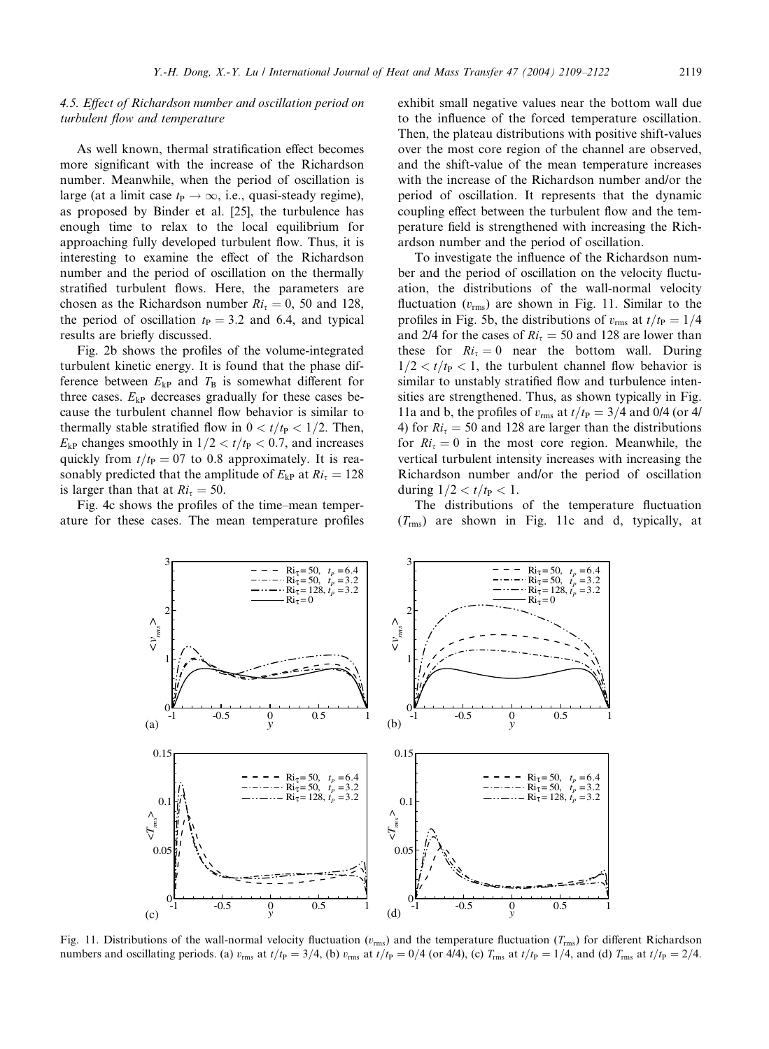# 4.5. Effect of Richardson number and oscillation period on turbulent flow and temperature

As well known, thermal stratification effect becomes more significant with the increase of the Richardson number. Meanwhile, when the period of oscillation is large (at a limit case  $t_P \rightarrow \infty$ , i.e., quasi-steady regime), as proposed by Binder et al. [25], the turbulence has enough time to relax to the local equilibrium for approaching fully developed turbulent flow. Thus, it is interesting to examine the effect of the Richardson number and the period of oscillation on the thermally stratified turbulent flows. Here, the parameters are chosen as the Richardson number  $Ri_7 = 0$ , 50 and 128, the period of oscillation  $t_P = 3.2$  and 6.4, and typical results are briefly discussed.

Fig. 2b shows the profiles of the volume-integrated turbulent kinetic energy. It is found that the phase difference between  $E_{kP}$  and  $T_B$  is somewhat different for three cases.  $E_{kP}$  decreases gradually for these cases because the turbulent channel flow behavior is similar to thermally stable stratified flow in  $0 < t/t_P < 1/2$ . Then,  $E_{\rm kP}$  changes smoothly in  $1/2 < t/t_{\rm P} < 0.7$ , and increases quickly from  $t/t_P = 07$  to 0.8 approximately. It is reasonably predicted that the amplitude of  $E_{kP}$  at  $Ri_{\tau} = 128$ is larger than that at  $Ri_7 = 50$ .

Fig. 4c shows the profiles of the time–mean temperature for these cases. The mean temperature profiles exhibit small negative values near the bottom wall due to the influence of the forced temperature oscillation. Then, the plateau distributions with positive shift-values over the most core region of the channel are observed, and the shift-value of the mean temperature increases with the increase of the Richardson number and/or the period of oscillation. It represents that the dynamic coupling effect between the turbulent flow and the temperature field is strengthened with increasing the Richardson number and the period of oscillation.

To investigate the influence of the Richardson number and the period of oscillation on the velocity fluctuation, the distributions of the wall-normal velocity fluctuation  $(v_{\rm rms})$  are shown in Fig. 11. Similar to the profiles in Fig. 5b, the distributions of  $v_{\rm rms}$  at  $t/t_{\rm P} = 1/4$ and 2/4 for the cases of  $Ri_7 = 50$  and 128 are lower than these for  $Ri_i = 0$  near the bottom wall. During  $1/2 < t/t_P < 1$ , the turbulent channel flow behavior is similar to unstably stratified flow and turbulence intensities are strengthened. Thus, as shown typically in Fig. 11a and b, the profiles of  $v_{\text{rms}}$  at  $t/t_{\text{P}} = 3/4$  and 0/4 (or 4/ 4) for  $Ri_7 = 50$  and 128 are larger than the distributions for  $Ri_7 = 0$  in the most core region. Meanwhile, the vertical turbulent intensity increases with increasing the Richardson number and/or the period of oscillation during  $1/2 < t/t_{\rm P} < 1$ .

The distributions of the temperature fluctuation  $(T<sub>rms</sub>)$  are shown in Fig. 11c and d, typically, at



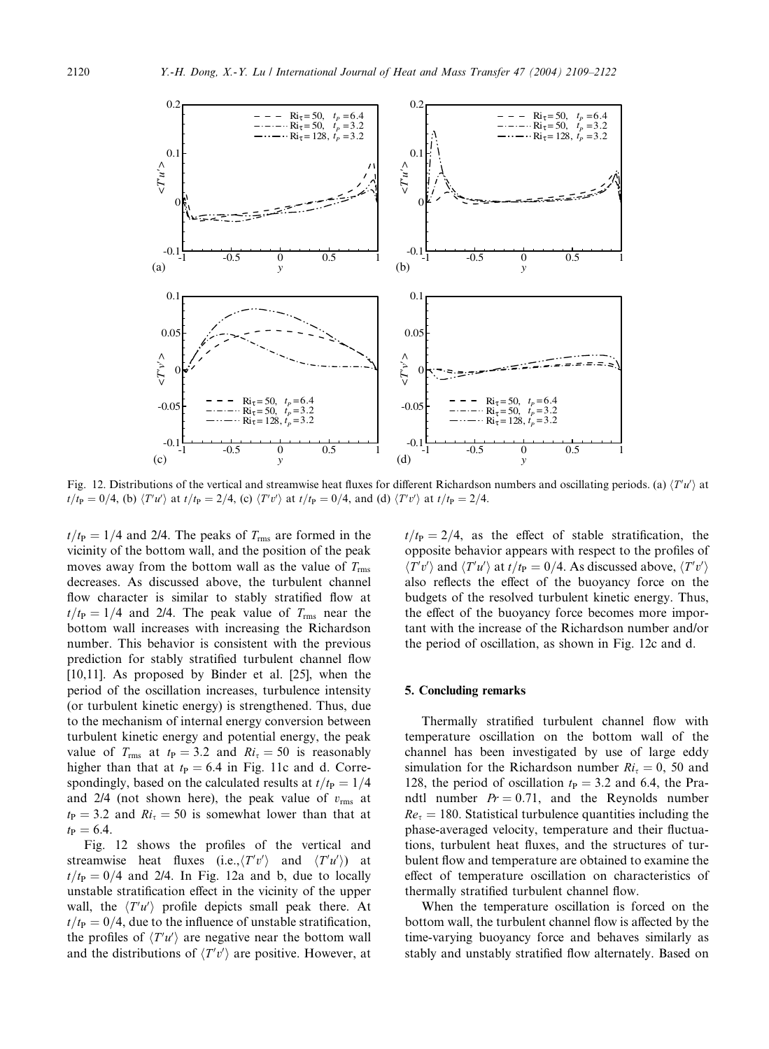

Fig. 12. Distributions of the vertical and streamwise heat fluxes for different Richardson numbers and oscillating periods. (a)  $\langle T'u' \rangle$  at  $t/t_P = 0/4$ , (b)  $\langle T'u' \rangle$  at  $t/t_P = 2/4$ , (c)  $\langle T'v' \rangle$  at  $t/t_P = 0/4$ , and (d)  $\langle T'v' \rangle$  at  $t/t_P = 2/4$ .

 $t/t_P = 1/4$  and 2/4. The peaks of  $T_{\text{rms}}$  are formed in the vicinity of the bottom wall, and the position of the peak moves away from the bottom wall as the value of  $T_{\text{rms}}$ decreases. As discussed above, the turbulent channel flow character is similar to stably stratified flow at  $t/t_P = 1/4$  and 2/4. The peak value of  $T_{\text{rms}}$  near the bottom wall increases with increasing the Richardson number. This behavior is consistent with the previous prediction for stably stratified turbulent channel flow [10,11]. As proposed by Binder et al. [25], when the period of the oscillation increases, turbulence intensity (or turbulent kinetic energy) is strengthened. Thus, due to the mechanism of internal energy conversion between turbulent kinetic energy and potential energy, the peak value of  $T_{\text{rms}}$  at  $t_{\text{P}} = 3.2$  and  $Ri_{\tau} = 50$  is reasonably higher than that at  $t<sub>P</sub> = 6.4$  in Fig. 11c and d. Correspondingly, based on the calculated results at  $t/t_{\rm P} = 1/4$ and  $2/4$  (not shown here), the peak value of  $v_{\rm rms}$  at  $t_{\rm P} = 3.2$  and  $Ri_{\tau} = 50$  is somewhat lower than that at  $t_{\rm P} = 6.4.$ 

Fig. 12 shows the profiles of the vertical and streamwise heat fluxes (i.e., $\langle T'v' \rangle$  and  $\langle T'u' \rangle$ ) at  $t/t_P = 0/4$  and 2/4. In Fig. 12a and b, due to locally unstable stratification effect in the vicinity of the upper wall, the  $\langle T' u' \rangle$  profile depicts small peak there. At  $t/t_P = 0/4$ , due to the influence of unstable stratification, the profiles of  $\langle T' u' \rangle$  are negative near the bottom wall and the distributions of  $\langle T'v' \rangle$  are positive. However, at  $t/t_P = 2/4$ , as the effect of stable stratification, the opposite behavior appears with respect to the profiles of  $\langle T'v' \rangle$  and  $\langle T'u' \rangle$  at  $t/t_P = 0/4$ . As discussed above,  $\langle T'v' \rangle$ also reflects the effect of the buoyancy force on the budgets of the resolved turbulent kinetic energy. Thus, the effect of the buoyancy force becomes more important with the increase of the Richardson number and/or the period of oscillation, as shown in Fig. 12c and d.

#### 5. Concluding remarks

Thermally stratified turbulent channel flow with temperature oscillation on the bottom wall of the channel has been investigated by use of large eddy simulation for the Richardson number  $Ri_7 = 0$ , 50 and 128, the period of oscillation  $t<sub>P</sub> = 3.2$  and 6.4, the Prandtl number  $Pr = 0.71$ , and the Reynolds number  $Re<sub>z</sub> = 180$ . Statistical turbulence quantities including the phase-averaged velocity, temperature and their fluctuations, turbulent heat fluxes, and the structures of turbulent flow and temperature are obtained to examine the effect of temperature oscillation on characteristics of thermally stratified turbulent channel flow.

When the temperature oscillation is forced on the bottom wall, the turbulent channel flow is affected by the time-varying buoyancy force and behaves similarly as stably and unstably stratified flow alternately. Based on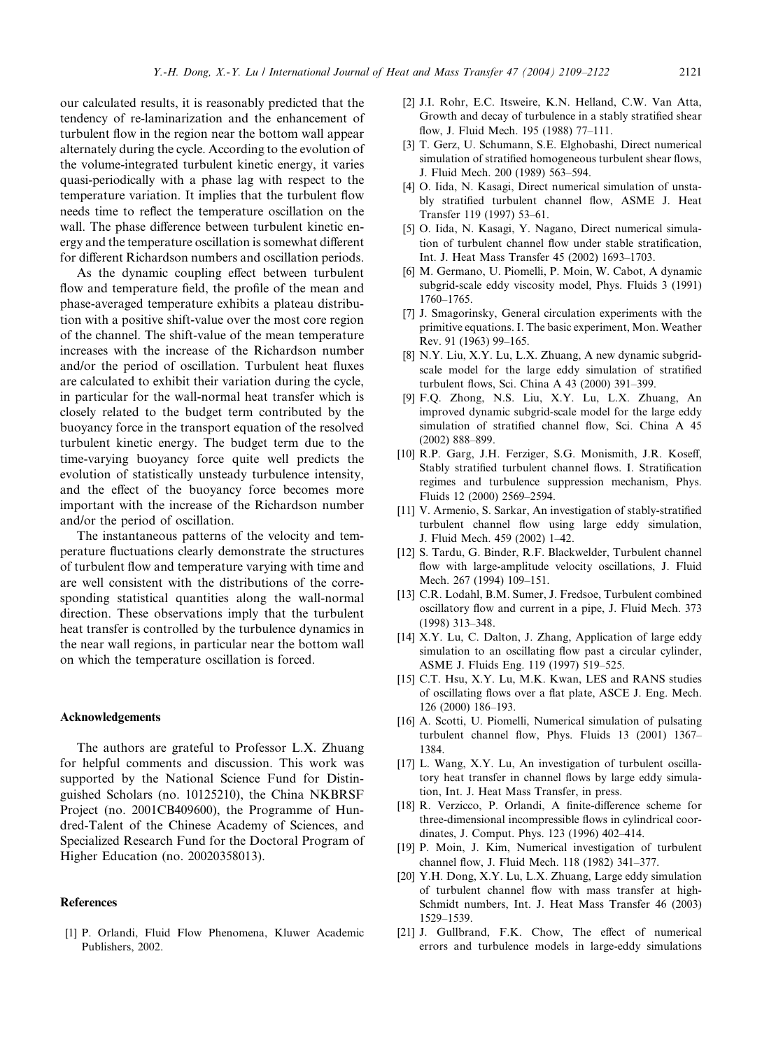our calculated results, it is reasonably predicted that the tendency of re-laminarization and the enhancement of turbulent flow in the region near the bottom wall appear alternately during the cycle. According to the evolution of the volume-integrated turbulent kinetic energy, it varies quasi-periodically with a phase lag with respect to the temperature variation. It implies that the turbulent flow needs time to reflect the temperature oscillation on the wall. The phase difference between turbulent kinetic energy and the temperature oscillation is somewhat different for different Richardson numbers and oscillation periods.

As the dynamic coupling effect between turbulent flow and temperature field, the profile of the mean and phase-averaged temperature exhibits a plateau distribution with a positive shift-value over the most core region of the channel. The shift-value of the mean temperature increases with the increase of the Richardson number and/or the period of oscillation. Turbulent heat fluxes are calculated to exhibit their variation during the cycle, in particular for the wall-normal heat transfer which is closely related to the budget term contributed by the buoyancy force in the transport equation of the resolved turbulent kinetic energy. The budget term due to the time-varying buoyancy force quite well predicts the evolution of statistically unsteady turbulence intensity, and the effect of the buoyancy force becomes more important with the increase of the Richardson number and/or the period of oscillation.

The instantaneous patterns of the velocity and temperature fluctuations clearly demonstrate the structures of turbulent flow and temperature varying with time and are well consistent with the distributions of the corresponding statistical quantities along the wall-normal direction. These observations imply that the turbulent heat transfer is controlled by the turbulence dynamics in the near wall regions, in particular near the bottom wall on which the temperature oscillation is forced.

## Acknowledgements

The authors are grateful to Professor L.X. Zhuang for helpful comments and discussion. This work was supported by the National Science Fund for Distinguished Scholars (no. 10125210), the China NKBRSF Project (no. 2001CB409600), the Programme of Hundred-Talent of the Chinese Academy of Sciences, and Specialized Research Fund for the Doctoral Program of Higher Education (no. 20020358013).

## References

[1] P. Orlandi, Fluid Flow Phenomena, Kluwer Academic Publishers, 2002.

- [2] J.I. Rohr, E.C. Itsweire, K.N. Helland, C.W. Van Atta, Growth and decay of turbulence in a stably stratified shear flow, J. Fluid Mech. 195 (1988) 77–111.
- [3] T. Gerz, U. Schumann, S.E. Elghobashi, Direct numerical simulation of stratified homogeneous turbulent shear flows, J. Fluid Mech. 200 (1989) 563–594.
- [4] O. Iida, N. Kasagi, Direct numerical simulation of unstably stratified turbulent channel flow, ASME J. Heat Transfer 119 (1997) 53–61.
- [5] O. Iida, N. Kasagi, Y. Nagano, Direct numerical simulation of turbulent channel flow under stable stratification, Int. J. Heat Mass Transfer 45 (2002) 1693–1703.
- [6] M. Germano, U. Piomelli, P. Moin, W. Cabot, A dynamic subgrid-scale eddy viscosity model, Phys. Fluids 3 (1991) 1760–1765.
- [7] J. Smagorinsky, General circulation experiments with the primitive equations. I. The basic experiment, Mon. Weather Rev. 91 (1963) 99–165.
- [8] N.Y. Liu, X.Y. Lu, L.X. Zhuang, A new dynamic subgridscale model for the large eddy simulation of stratified turbulent flows, Sci. China A 43 (2000) 391–399.
- [9] F.Q. Zhong, N.S. Liu, X.Y. Lu, L.X. Zhuang, An improved dynamic subgrid-scale model for the large eddy simulation of stratified channel flow, Sci. China A 45 (2002) 888–899.
- [10] R.P. Garg, J.H. Ferziger, S.G. Monismith, J.R. Koseff, Stably stratified turbulent channel flows. I. Stratification regimes and turbulence suppression mechanism, Phys. Fluids 12 (2000) 2569–2594.
- [11] V. Armenio, S. Sarkar, An investigation of stably-stratified turbulent channel flow using large eddy simulation, J. Fluid Mech. 459 (2002) 1–42.
- [12] S. Tardu, G. Binder, R.F. Blackwelder, Turbulent channel flow with large-amplitude velocity oscillations, J. Fluid Mech. 267 (1994) 109–151.
- [13] C.R. Lodahl, B.M. Sumer, J. Fredsoe, Turbulent combined oscillatory flow and current in a pipe, J. Fluid Mech. 373 (1998) 313–348.
- [14] X.Y. Lu, C. Dalton, J. Zhang, Application of large eddy simulation to an oscillating flow past a circular cylinder, ASME J. Fluids Eng. 119 (1997) 519–525.
- [15] C.T. Hsu, X.Y. Lu, M.K. Kwan, LES and RANS studies of oscillating flows over a flat plate, ASCE J. Eng. Mech. 126 (2000) 186–193.
- [16] A. Scotti, U. Piomelli, Numerical simulation of pulsating turbulent channel flow, Phys. Fluids 13 (2001) 1367– 1384.
- [17] L. Wang, X.Y. Lu, An investigation of turbulent oscillatory heat transfer in channel flows by large eddy simulation, Int. J. Heat Mass Transfer, in press.
- [18] R. Verzicco, P. Orlandi, A finite-difference scheme for three-dimensional incompressible flows in cylindrical coordinates, J. Comput. Phys. 123 (1996) 402–414.
- [19] P. Moin, J. Kim, Numerical investigation of turbulent channel flow, J. Fluid Mech. 118 (1982) 341–377.
- [20] Y.H. Dong, X.Y. Lu, L.X. Zhuang, Large eddy simulation of turbulent channel flow with mass transfer at high-Schmidt numbers, Int. J. Heat Mass Transfer 46 (2003) 1529–1539.
- [21] J. Gullbrand, F.K. Chow, The effect of numerical errors and turbulence models in large-eddy simulations